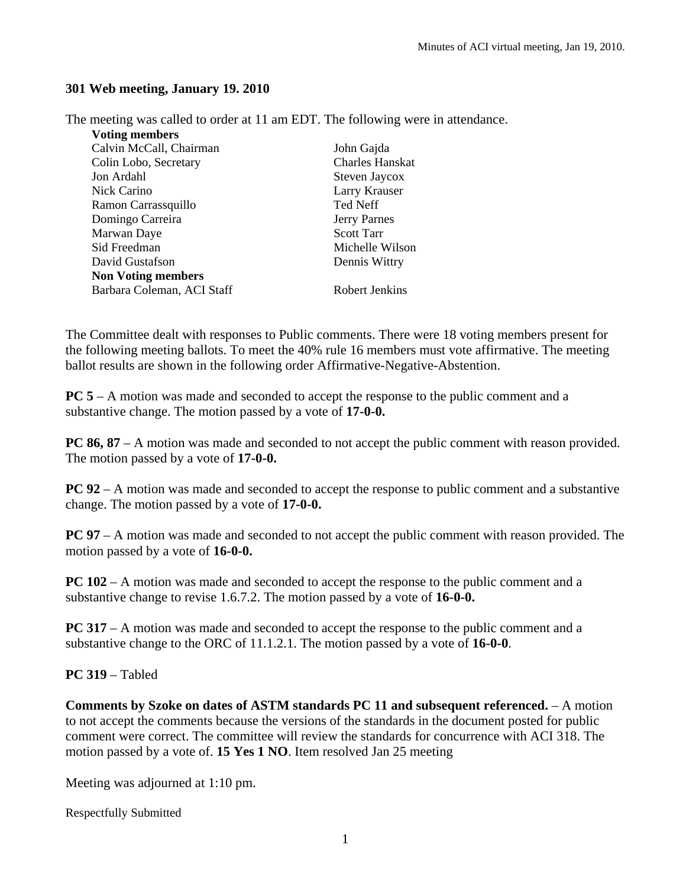## **301 Web meeting, January 19. 2010**

The meeting was called to order at 11 am EDT. The following were in attendance.

| <b>Voting members</b>      |                        |
|----------------------------|------------------------|
| Calvin McCall, Chairman    | John Gajda             |
| Colin Lobo, Secretary      | <b>Charles Hanskat</b> |
| Jon Ardahl                 | Steven Jaycox          |
| Nick Carino                | Larry Krauser          |
| Ramon Carrassquillo        | <b>Ted Neff</b>        |
| Domingo Carreira           | <b>Jerry Parnes</b>    |
| Marwan Daye                | <b>Scott Tarr</b>      |
| Sid Freedman               | Michelle Wilson        |
| David Gustafson            | Dennis Wittry          |
| <b>Non Voting members</b>  |                        |
| Barbara Coleman, ACI Staff | Robert Jenkins         |

The Committee dealt with responses to Public comments. There were 18 voting members present for the following meeting ballots. To meet the 40% rule 16 members must vote affirmative. The meeting ballot results are shown in the following order Affirmative-Negative-Abstention.

**PC 5** – A motion was made and seconded to accept the response to the public comment and a substantive change. The motion passed by a vote of **17-0-0.** 

**PC 86, 87** – A motion was made and seconded to not accept the public comment with reason provided. The motion passed by a vote of **17-0-0.** 

**PC 92** – A motion was made and seconded to accept the response to public comment and a substantive change. The motion passed by a vote of **17-0-0.** 

**PC 97** – A motion was made and seconded to not accept the public comment with reason provided. The motion passed by a vote of **16-0-0.** 

**PC 102** – A motion was made and seconded to accept the response to the public comment and a substantive change to revise 1.6.7.2. The motion passed by a vote of **16-0-0.**

**PC 317** – A motion was made and seconded to accept the response to the public comment and a substantive change to the ORC of 11.1.2.1. The motion passed by a vote of **16-0-0**.

**PC 319** – Tabled

**Comments by Szoke on dates of ASTM standards PC 11 and subsequent referenced.** – A motion to not accept the comments because the versions of the standards in the document posted for public comment were correct. The committee will review the standards for concurrence with ACI 318. The motion passed by a vote of. **15 Yes 1 NO**. Item resolved Jan 25 meeting

Meeting was adjourned at 1:10 pm.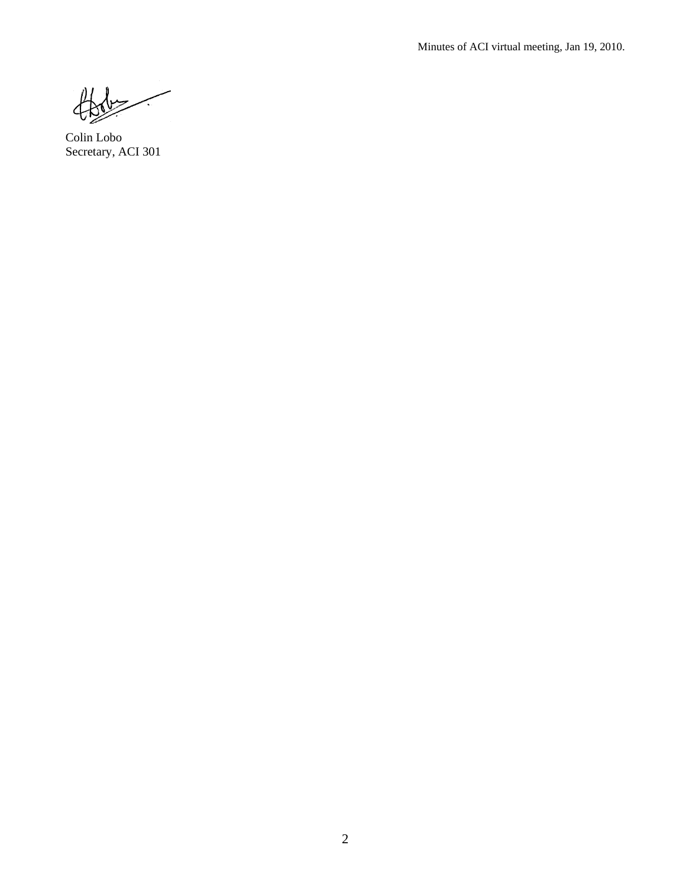Minutes of ACI virtual meeting, Jan 19, 2010.

 $\frac{\partial}{\partial x^2}$  $\overline{\phantom{a}}$ 

Colin Lobo Secretary, ACI 301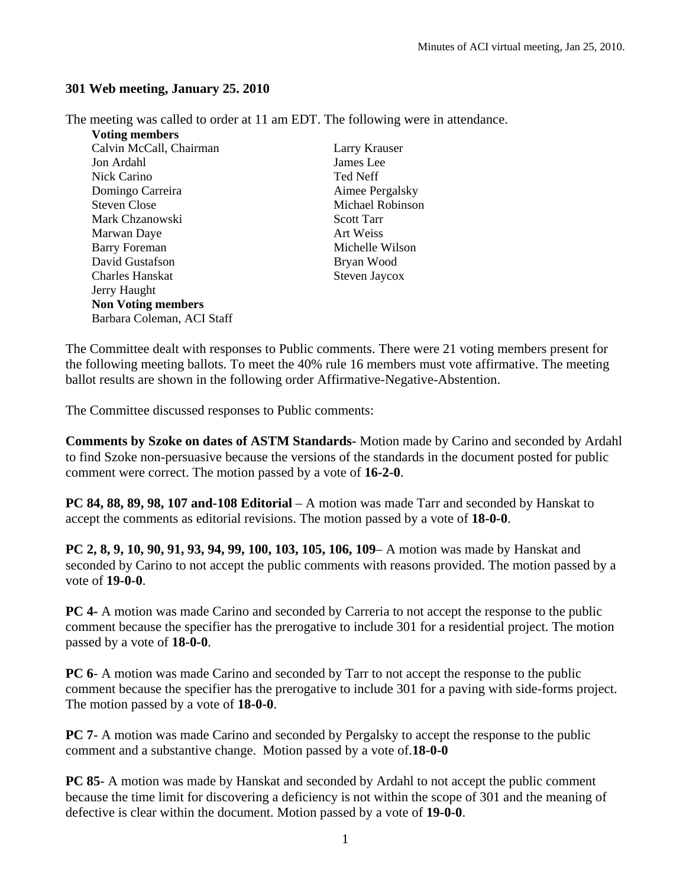## **301 Web meeting, January 25. 2010**

The meeting was called to order at 11 am EDT. The following were in attendance.

**Voting members**  Calvin McCall, Chairman Larry Krauser Jon Ardahl James Lee Nick Carino Ted Neff Domingo Carreira **Aimee Pergalsky** Steven Close Michael Robinson Mark Chzanowski Scott Tarr Marwan Daye **Art Weiss** Barry Foreman Michelle Wilson David Gustafson Bryan Wood Charles Hanskat Steven Jaycox Jerry Haught **Non Voting members**  Barbara Coleman, ACI Staff

The Committee dealt with responses to Public comments. There were 21 voting members present for the following meeting ballots. To meet the 40% rule 16 members must vote affirmative. The meeting ballot results are shown in the following order Affirmative-Negative-Abstention.

The Committee discussed responses to Public comments:

**Comments by Szoke on dates of ASTM Standards-** Motion made by Carino and seconded by Ardahl to find Szoke non-persuasive because the versions of the standards in the document posted for public comment were correct. The motion passed by a vote of **16-2-0**.

**PC 84, 88, 89, 98, 107 and-108 Editorial** – A motion was made Tarr and seconded by Hanskat to accept the comments as editorial revisions. The motion passed by a vote of **18-0-0**.

**PC 2, 8, 9, 10, 90, 91, 93, 94, 99, 100, 103, 105, 106, 109**– A motion was made by Hanskat and seconded by Carino to not accept the public comments with reasons provided. The motion passed by a vote of **19-0-0**.

**PC 4-** A motion was made Carino and seconded by Carreria to not accept the response to the public comment because the specifier has the prerogative to include 301 for a residential project. The motion passed by a vote of **18-0-0**.

**PC 6**- A motion was made Carino and seconded by Tarr to not accept the response to the public comment because the specifier has the prerogative to include 301 for a paving with side-forms project. The motion passed by a vote of **18-0-0**.

**PC 7-** A motion was made Carino and seconded by Pergalsky to accept the response to the public comment and a substantive change. Motion passed by a vote of.**18-0-0**

**PC 85**- A motion was made by Hanskat and seconded by Ardahl to not accept the public comment because the time limit for discovering a deficiency is not within the scope of 301 and the meaning of defective is clear within the document. Motion passed by a vote of **19-0-0**.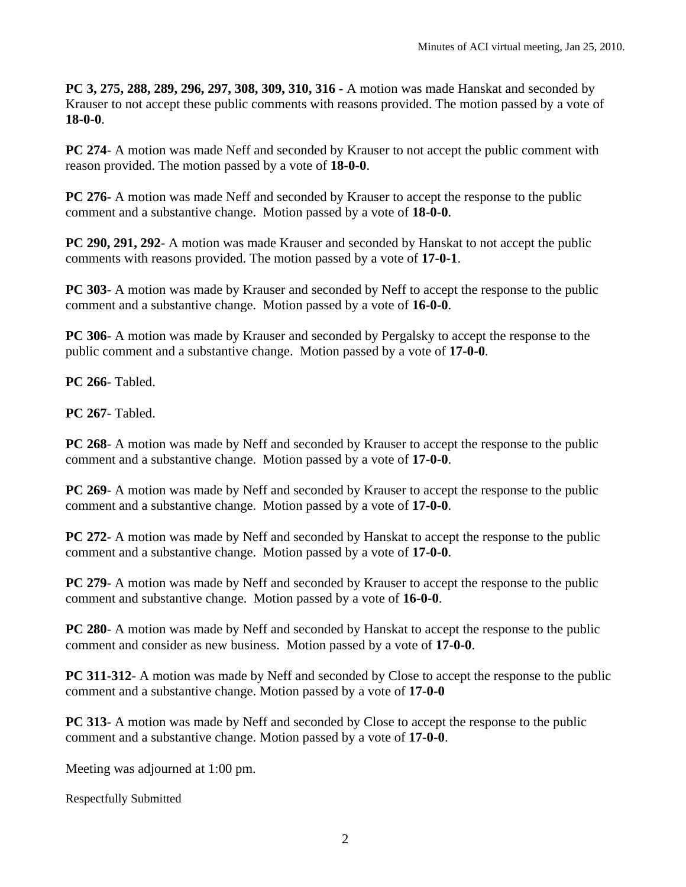**PC 3, 275, 288, 289, 296, 297, 308, 309, 310, 316 -** A motion was made Hanskat and seconded by Krauser to not accept these public comments with reasons provided. The motion passed by a vote of **18-0-0**.

**PC 274**- A motion was made Neff and seconded by Krauser to not accept the public comment with reason provided. The motion passed by a vote of **18-0-0**.

**PC 276-** A motion was made Neff and seconded by Krauser to accept the response to the public comment and a substantive change. Motion passed by a vote of **18-0-0**.

**PC 290, 291, 292**- A motion was made Krauser and seconded by Hanskat to not accept the public comments with reasons provided. The motion passed by a vote of **17-0-1**.

**PC 303**- A motion was made by Krauser and seconded by Neff to accept the response to the public comment and a substantive change. Motion passed by a vote of **16-0-0**.

**PC 306**- A motion was made by Krauser and seconded by Pergalsky to accept the response to the public comment and a substantive change. Motion passed by a vote of **17-0-0**.

**PC 266**- Tabled.

**PC 267**- Tabled.

**PC 268**- A motion was made by Neff and seconded by Krauser to accept the response to the public comment and a substantive change. Motion passed by a vote of **17-0-0**.

**PC 269**- A motion was made by Neff and seconded by Krauser to accept the response to the public comment and a substantive change. Motion passed by a vote of **17-0-0**.

**PC 272**- A motion was made by Neff and seconded by Hanskat to accept the response to the public comment and a substantive change. Motion passed by a vote of **17-0-0**.

**PC 279**- A motion was made by Neff and seconded by Krauser to accept the response to the public comment and substantive change. Motion passed by a vote of **16-0-0**.

**PC 280**- A motion was made by Neff and seconded by Hanskat to accept the response to the public comment and consider as new business. Motion passed by a vote of **17-0-0**.

**PC 311-312**- A motion was made by Neff and seconded by Close to accept the response to the public comment and a substantive change. Motion passed by a vote of **17-0-0**

**PC 313**- A motion was made by Neff and seconded by Close to accept the response to the public comment and a substantive change. Motion passed by a vote of **17-0-0**.

Meeting was adjourned at 1:00 pm.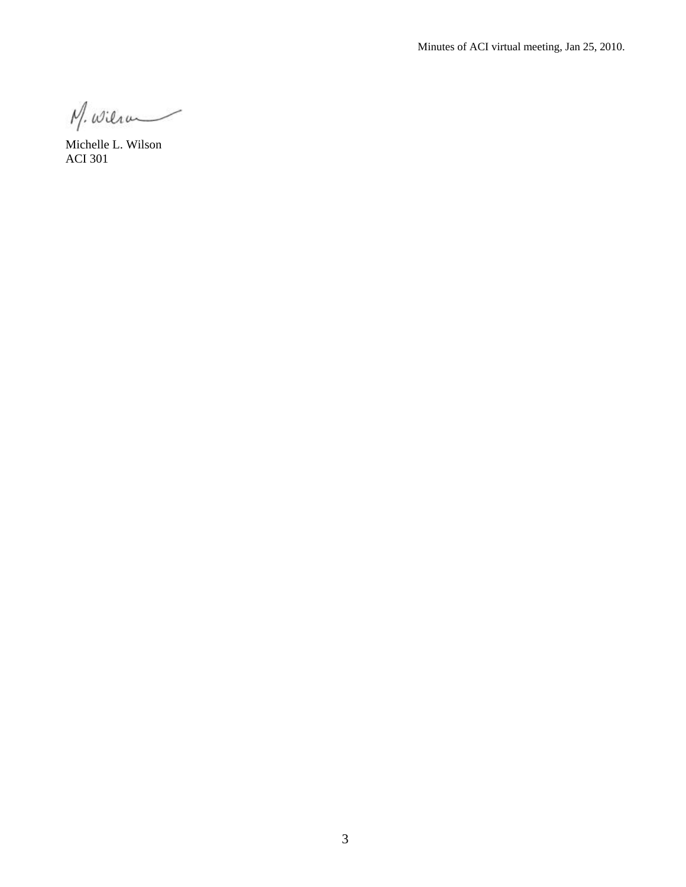$M.$  Wilson

Michelle L. Wilson ACI 301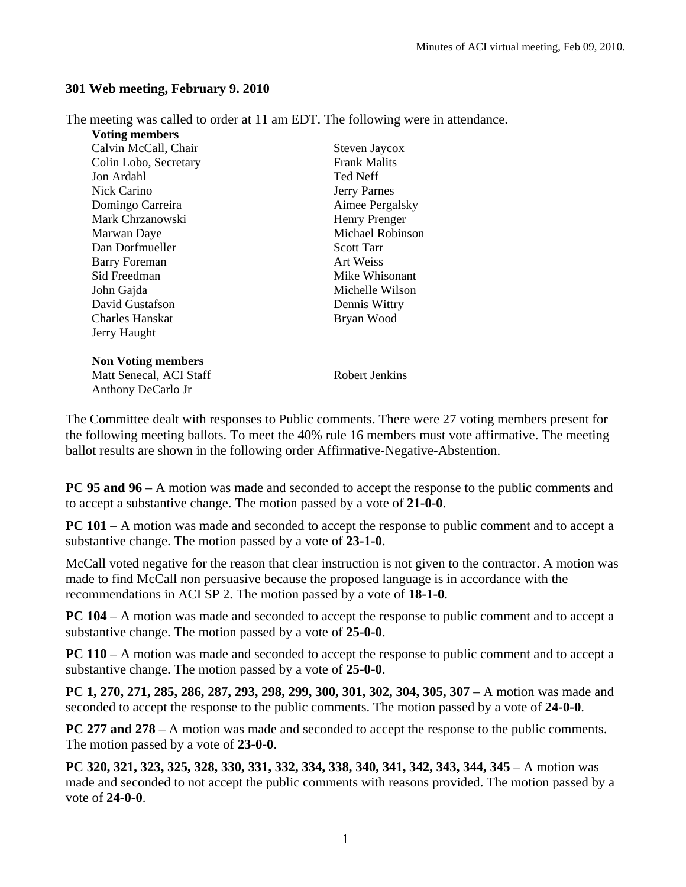## **301 Web meeting, February 9. 2010**

The meeting was called to order at 11 am EDT. The following were in attendance.

| Voting members            |                     |
|---------------------------|---------------------|
| Calvin McCall, Chair      | Steven Jaycox       |
| Colin Lobo, Secretary     | <b>Frank Malits</b> |
| Jon Ardahl                | <b>Ted Neff</b>     |
| Nick Carino               | <b>Jerry Parnes</b> |
| Domingo Carreira          | Aimee Pergalsky     |
| Mark Chrzanowski          | Henry Prenger       |
| Marwan Daye               | Michael Robinson    |
| Dan Dorfmueller           | <b>Scott Tarr</b>   |
| <b>Barry Foreman</b>      | Art Weiss           |
| Sid Freedman              | Mike Whisonant      |
| John Gajda                | Michelle Wilson     |
| David Gustafson           | Dennis Wittry       |
| Charles Hanskat           | Bryan Wood          |
| Jerry Haught              |                     |
|                           |                     |
| <b>Non Voting members</b> |                     |
| Matt Senecal, ACI Staff   | Robert Jenkins      |
| Anthony DeCarlo Jr        |                     |

The Committee dealt with responses to Public comments. There were 27 voting members present for the following meeting ballots. To meet the 40% rule 16 members must vote affirmative. The meeting ballot results are shown in the following order Affirmative-Negative-Abstention.

**PC 95 and 96** – A motion was made and seconded to accept the response to the public comments and to accept a substantive change. The motion passed by a vote of **21-0-0**.

**PC 101** – A motion was made and seconded to accept the response to public comment and to accept a substantive change. The motion passed by a vote of **23-1-0**.

McCall voted negative for the reason that clear instruction is not given to the contractor. A motion was made to find McCall non persuasive because the proposed language is in accordance with the recommendations in ACI SP 2. The motion passed by a vote of **18-1-0**.

**PC 104** – A motion was made and seconded to accept the response to public comment and to accept a substantive change. The motion passed by a vote of **25-0-0**.

**PC 110** – A motion was made and seconded to accept the response to public comment and to accept a substantive change. The motion passed by a vote of **25-0-0**.

**PC 1, 270, 271, 285, 286, 287, 293, 298, 299, 300, 301, 302, 304, 305, 307** – A motion was made and seconded to accept the response to the public comments. The motion passed by a vote of **24-0-0**.

**PC 277 and 278** – A motion was made and seconded to accept the response to the public comments. The motion passed by a vote of **23-0-0**.

**PC 320, 321, 323, 325, 328, 330, 331, 332, 334, 338, 340, 341, 342, 343, 344, 345** – A motion was made and seconded to not accept the public comments with reasons provided. The motion passed by a vote of **24-0-0**.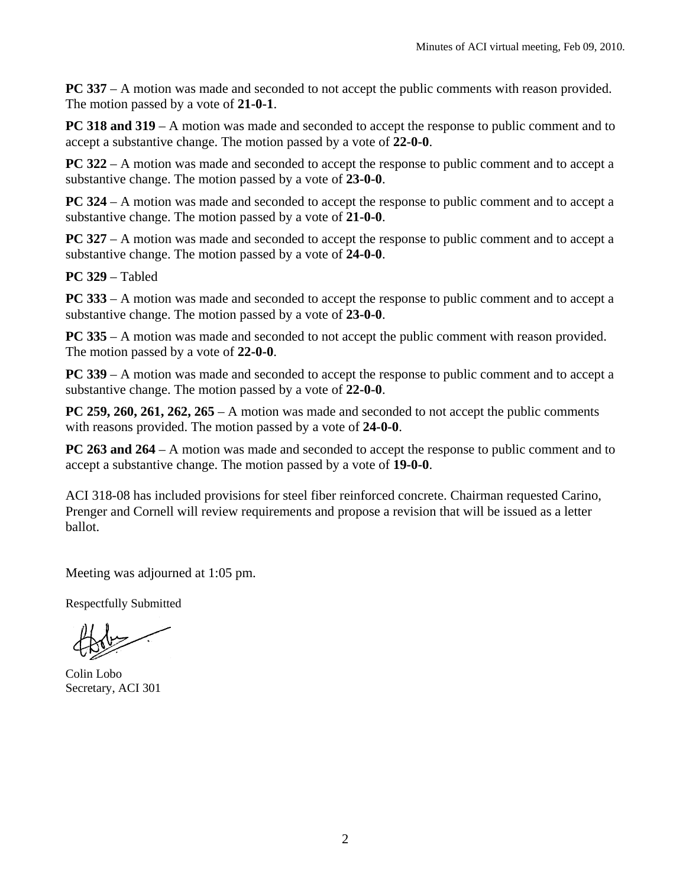**PC 337** – A motion was made and seconded to not accept the public comments with reason provided. The motion passed by a vote of **21-0-1**.

**PC 318 and 319** – A motion was made and seconded to accept the response to public comment and to accept a substantive change. The motion passed by a vote of **22-0-0**.

**PC 322** – A motion was made and seconded to accept the response to public comment and to accept a substantive change. The motion passed by a vote of **23-0-0**.

**PC 324** – A motion was made and seconded to accept the response to public comment and to accept a substantive change. The motion passed by a vote of **21-0-0**.

**PC 327** – A motion was made and seconded to accept the response to public comment and to accept a substantive change. The motion passed by a vote of **24-0-0**.

**PC 329** – Tabled

**PC 333** – A motion was made and seconded to accept the response to public comment and to accept a substantive change. The motion passed by a vote of **23-0-0**.

**PC 335** – A motion was made and seconded to not accept the public comment with reason provided. The motion passed by a vote of **22-0-0**.

**PC 339** – A motion was made and seconded to accept the response to public comment and to accept a substantive change. The motion passed by a vote of **22-0-0**.

**PC 259, 260, 261, 262, 265** – A motion was made and seconded to not accept the public comments with reasons provided. The motion passed by a vote of **24-0-0**.

**PC 263 and 264** – A motion was made and seconded to accept the response to public comment and to accept a substantive change. The motion passed by a vote of **19-0-0**.

ACI 318-08 has included provisions for steel fiber reinforced concrete. Chairman requested Carino, Prenger and Cornell will review requirements and propose a revision that will be issued as a letter ballot.

Meeting was adjourned at 1:05 pm.

Colin Lobo Secretary, ACI 301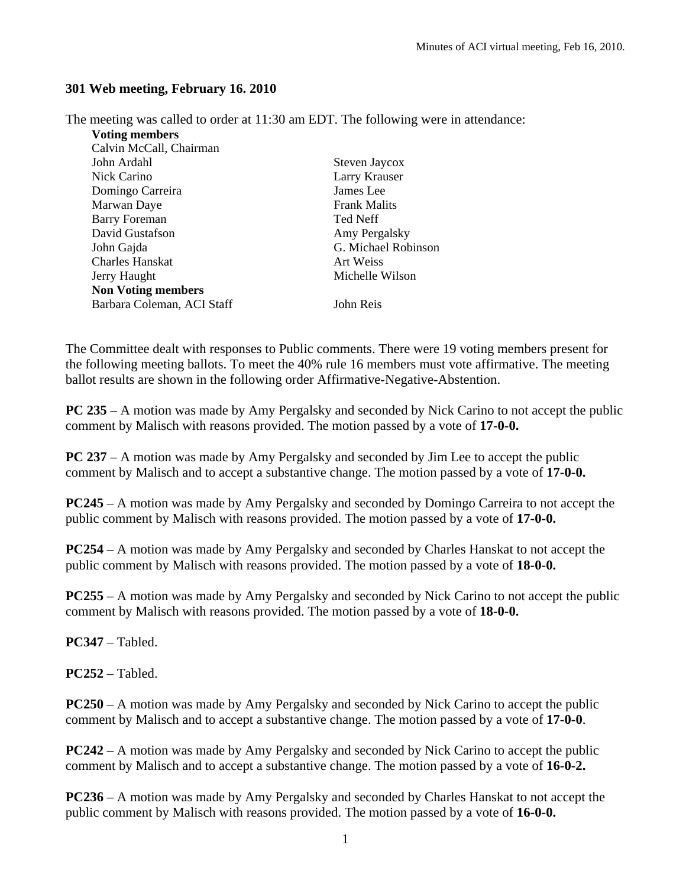## **301 Web meeting, February 16. 2010**

The meeting was called to order at 11:30 am EDT. The following were in attendance:

| Steven Jaycox       |
|---------------------|
| Larry Krauser       |
| James Lee           |
| <b>Frank Malits</b> |
| Ted Neff            |
| Amy Pergalsky       |
| G. Michael Robinson |
| Art Weiss           |
| Michelle Wilson     |
|                     |
| John Reis           |
|                     |

The Committee dealt with responses to Public comments. There were 19 voting members present for the following meeting ballots. To meet the 40% rule 16 members must vote affirmative. The meeting ballot results are shown in the following order Affirmative-Negative-Abstention.

**PC 235** – A motion was made by Amy Pergalsky and seconded by Nick Carino to not accept the public comment by Malisch with reasons provided. The motion passed by a vote of **17-0-0.**

**PC 237** – A motion was made by Amy Pergalsky and seconded by Jim Lee to accept the public comment by Malisch and to accept a substantive change. The motion passed by a vote of **17-0-0.**

**PC245** – A motion was made by Amy Pergalsky and seconded by Domingo Carreira to not accept the public comment by Malisch with reasons provided. The motion passed by a vote of **17-0-0.**

**PC254** – A motion was made by Amy Pergalsky and seconded by Charles Hanskat to not accept the public comment by Malisch with reasons provided. The motion passed by a vote of **18-0-0.**

**PC255** – A motion was made by Amy Pergalsky and seconded by Nick Carino to not accept the public comment by Malisch with reasons provided. The motion passed by a vote of **18-0-0.**

**PC347** – Tabled.

**PC252** – Tabled.

**PC250** – A motion was made by Amy Pergalsky and seconded by Nick Carino to accept the public comment by Malisch and to accept a substantive change. The motion passed by a vote of **17-0-0**.

**PC242** – A motion was made by Amy Pergalsky and seconded by Nick Carino to accept the public comment by Malisch and to accept a substantive change. The motion passed by a vote of **16-0-2.**

**PC236** – A motion was made by Amy Pergalsky and seconded by Charles Hanskat to not accept the public comment by Malisch with reasons provided. The motion passed by a vote of **16-0-0.**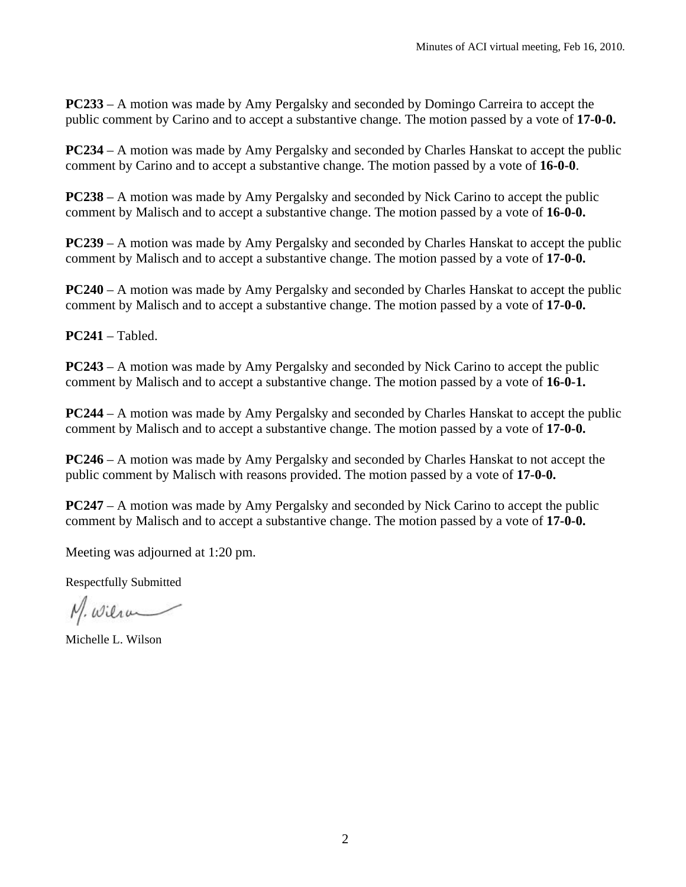**PC233** – A motion was made by Amy Pergalsky and seconded by Domingo Carreira to accept the public comment by Carino and to accept a substantive change. The motion passed by a vote of **17-0-0.**

**PC234** – A motion was made by Amy Pergalsky and seconded by Charles Hanskat to accept the public comment by Carino and to accept a substantive change. The motion passed by a vote of **16-0-0**.

**PC238** – A motion was made by Amy Pergalsky and seconded by Nick Carino to accept the public comment by Malisch and to accept a substantive change. The motion passed by a vote of **16-0-0.**

**PC239** – A motion was made by Amy Pergalsky and seconded by Charles Hanskat to accept the public comment by Malisch and to accept a substantive change. The motion passed by a vote of **17-0-0.**

**PC240** – A motion was made by Amy Pergalsky and seconded by Charles Hanskat to accept the public comment by Malisch and to accept a substantive change. The motion passed by a vote of **17-0-0.**

**PC241** – Tabled.

**PC243** – A motion was made by Amy Pergalsky and seconded by Nick Carino to accept the public comment by Malisch and to accept a substantive change. The motion passed by a vote of **16-0-1.**

**PC244** – A motion was made by Amy Pergalsky and seconded by Charles Hanskat to accept the public comment by Malisch and to accept a substantive change. The motion passed by a vote of **17-0-0.**

**PC246** – A motion was made by Amy Pergalsky and seconded by Charles Hanskat to not accept the public comment by Malisch with reasons provided. The motion passed by a vote of **17-0-0.**

**PC247** – A motion was made by Amy Pergalsky and seconded by Nick Carino to accept the public comment by Malisch and to accept a substantive change. The motion passed by a vote of **17-0-0.**

Meeting was adjourned at 1:20 pm.

M. Wilson

Michelle L. Wilson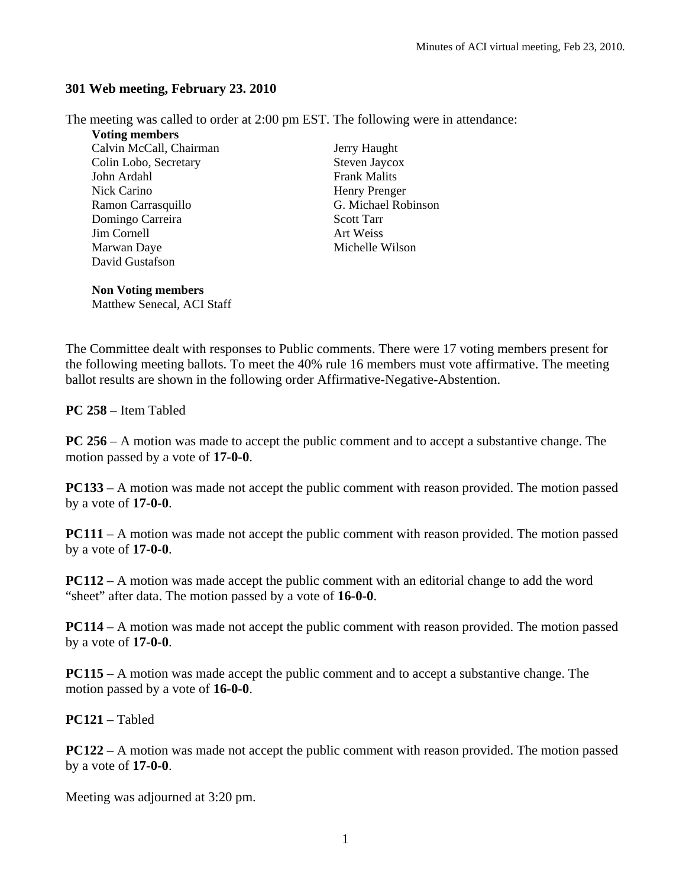## **301 Web meeting, February 23. 2010**

The meeting was called to order at 2:00 pm EST. The following were in attendance:

**Voting members** 

Calvin McCall, Chairman Jerry Haught Colin Lobo, Secretary Steven Jaycox John Ardahl **Frank Malits** Nick Carino Henry Prenger Ramon Carrasquillo G. Michael Robinson Domingo Carreira Scott Tarr Jim Cornell Art Weiss Marwan Daye Michelle Wilson David Gustafson

**Non Voting members**  Matthew Senecal, ACI Staff

The Committee dealt with responses to Public comments. There were 17 voting members present for the following meeting ballots. To meet the 40% rule 16 members must vote affirmative. The meeting ballot results are shown in the following order Affirmative-Negative-Abstention.

**PC 258** – Item Tabled

**PC 256** – A motion was made to accept the public comment and to accept a substantive change. The motion passed by a vote of **17-0-0**.

**PC133** – A motion was made not accept the public comment with reason provided. The motion passed by a vote of **17-0-0**.

**PC111** – A motion was made not accept the public comment with reason provided. The motion passed by a vote of **17-0-0**.

**PC112** – A motion was made accept the public comment with an editorial change to add the word "sheet" after data. The motion passed by a vote of **16-0-0**.

**PC114** – A motion was made not accept the public comment with reason provided. The motion passed by a vote of **17-0-0**.

**PC115** – A motion was made accept the public comment and to accept a substantive change. The motion passed by a vote of **16-0-0**.

**PC121** – Tabled

**PC122** – A motion was made not accept the public comment with reason provided. The motion passed by a vote of **17-0-0**.

Meeting was adjourned at 3:20 pm.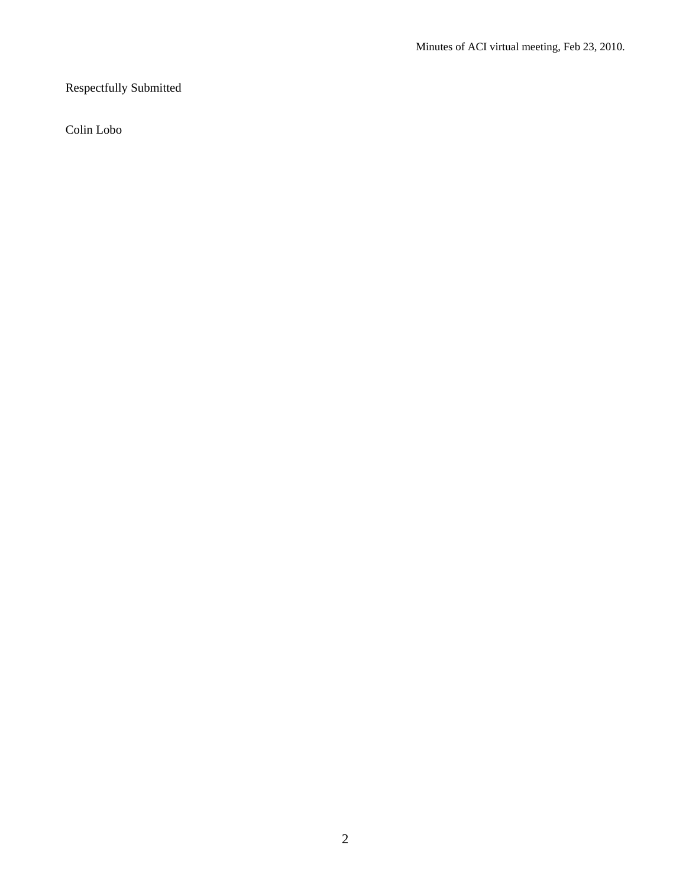# Respectfully Submitted

Colin Lobo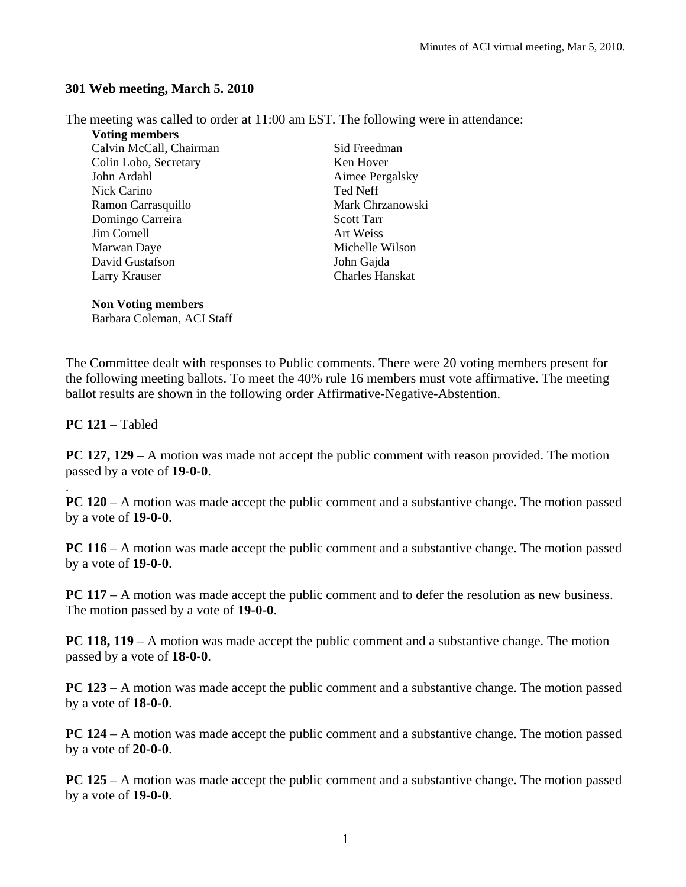## **301 Web meeting, March 5. 2010**

The meeting was called to order at 11:00 am EST. The following were in attendance:

**Voting members**  Calvin McCall, Chairman Sid Freedman Colin Lobo, Secretary Ken Hover John Ardahl **Aimee Pergalsky** Nick Carino Ted Neff Ramon Carrasquillo Mark Chrzanowski Domingo Carreira Scott Tarr Jim Cornell Art Weiss

Marwan Daye Michelle Wilson David Gustafson John Gajda Larry Krauser Charles Hanskat

**Non Voting members** 

Barbara Coleman, ACI Staff

The Committee dealt with responses to Public comments. There were 20 voting members present for the following meeting ballots. To meet the 40% rule 16 members must vote affirmative. The meeting ballot results are shown in the following order Affirmative-Negative-Abstention.

**PC 121** – Tabled

.

**PC 127, 129** – A motion was made not accept the public comment with reason provided. The motion passed by a vote of **19-0-0**.

**PC 120** – A motion was made accept the public comment and a substantive change. The motion passed by a vote of **19-0-0**.

**PC 116** – A motion was made accept the public comment and a substantive change. The motion passed by a vote of **19-0-0**.

**PC 117** – A motion was made accept the public comment and to defer the resolution as new business. The motion passed by a vote of **19-0-0**.

**PC 118, 119** – A motion was made accept the public comment and a substantive change. The motion passed by a vote of **18-0-0**.

**PC 123** – A motion was made accept the public comment and a substantive change. The motion passed by a vote of **18-0-0**.

**PC 124** – A motion was made accept the public comment and a substantive change. The motion passed by a vote of **20-0-0**.

**PC 125** – A motion was made accept the public comment and a substantive change. The motion passed by a vote of **19-0-0**.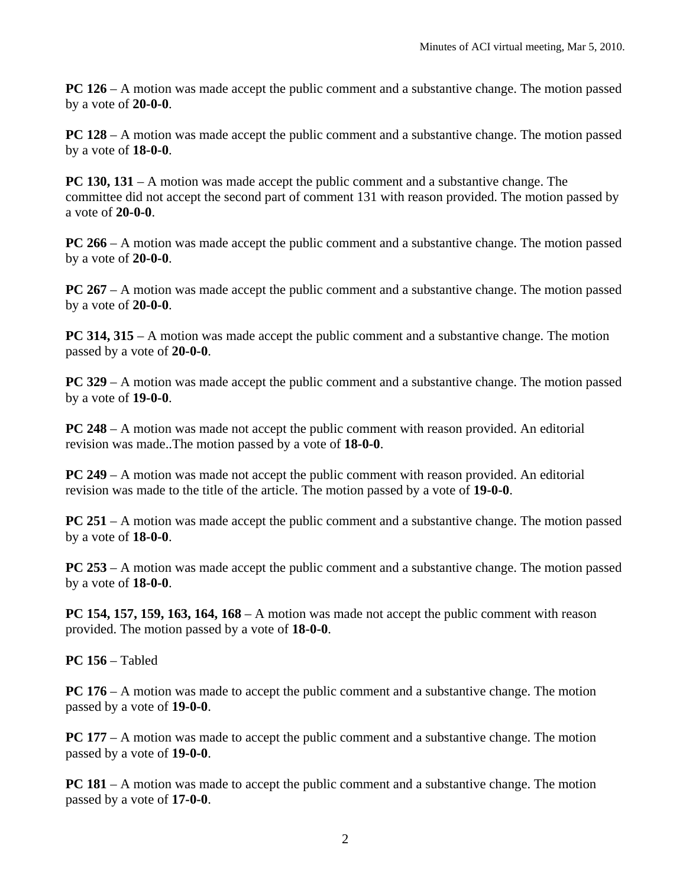**PC 126** – A motion was made accept the public comment and a substantive change. The motion passed by a vote of **20-0-0**.

**PC 128** – A motion was made accept the public comment and a substantive change. The motion passed by a vote of **18-0-0**.

**PC 130, 131** – A motion was made accept the public comment and a substantive change. The committee did not accept the second part of comment 131 with reason provided. The motion passed by a vote of **20-0-0**.

**PC 266** – A motion was made accept the public comment and a substantive change. The motion passed by a vote of **20-0-0**.

**PC 267** – A motion was made accept the public comment and a substantive change. The motion passed by a vote of **20-0-0**.

**PC 314, 315** – A motion was made accept the public comment and a substantive change. The motion passed by a vote of **20-0-0**.

**PC 329** – A motion was made accept the public comment and a substantive change. The motion passed by a vote of **19-0-0**.

**PC 248** – A motion was made not accept the public comment with reason provided. An editorial revision was made..The motion passed by a vote of **18-0-0**.

**PC 249** – A motion was made not accept the public comment with reason provided. An editorial revision was made to the title of the article. The motion passed by a vote of **19-0-0**.

**PC 251** – A motion was made accept the public comment and a substantive change. The motion passed by a vote of **18-0-0**.

**PC 253** – A motion was made accept the public comment and a substantive change. The motion passed by a vote of **18-0-0**.

**PC 154, 157, 159, 163, 164, 168** – A motion was made not accept the public comment with reason provided. The motion passed by a vote of **18-0-0**.

**PC 156** – Tabled

**PC 176** – A motion was made to accept the public comment and a substantive change. The motion passed by a vote of **19-0-0**.

**PC 177** – A motion was made to accept the public comment and a substantive change. The motion passed by a vote of **19-0-0**.

**PC 181** – A motion was made to accept the public comment and a substantive change. The motion passed by a vote of **17-0-0**.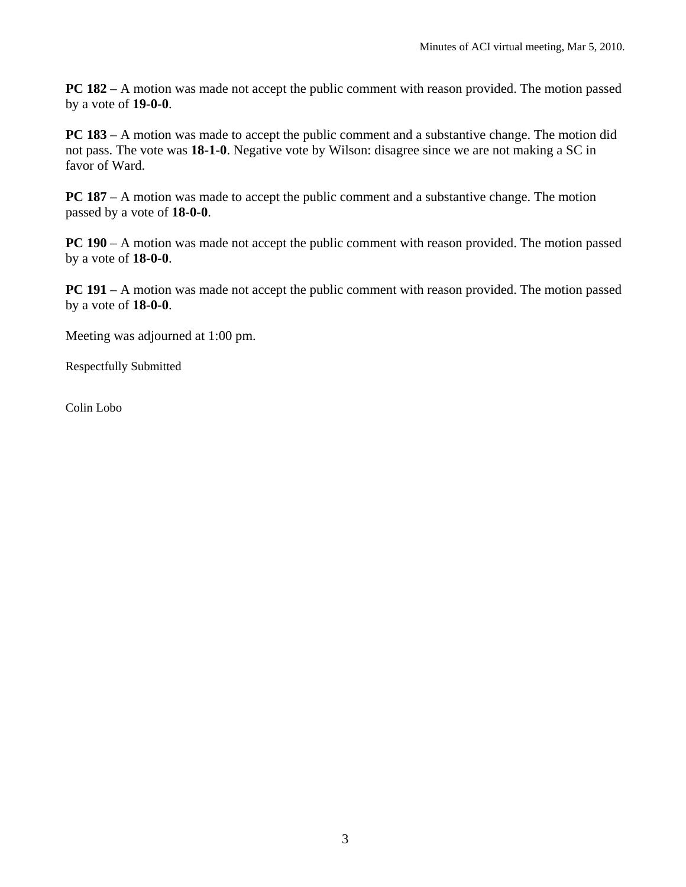**PC 182** – A motion was made not accept the public comment with reason provided. The motion passed by a vote of **19-0-0**.

**PC 183** – A motion was made to accept the public comment and a substantive change. The motion did not pass. The vote was **18-1-0**. Negative vote by Wilson: disagree since we are not making a SC in favor of Ward.

**PC 187** – A motion was made to accept the public comment and a substantive change. The motion passed by a vote of **18-0-0**.

**PC 190** – A motion was made not accept the public comment with reason provided. The motion passed by a vote of **18-0-0**.

**PC 191** – A motion was made not accept the public comment with reason provided. The motion passed by a vote of **18-0-0**.

Meeting was adjourned at 1:00 pm.

Respectfully Submitted

Colin Lobo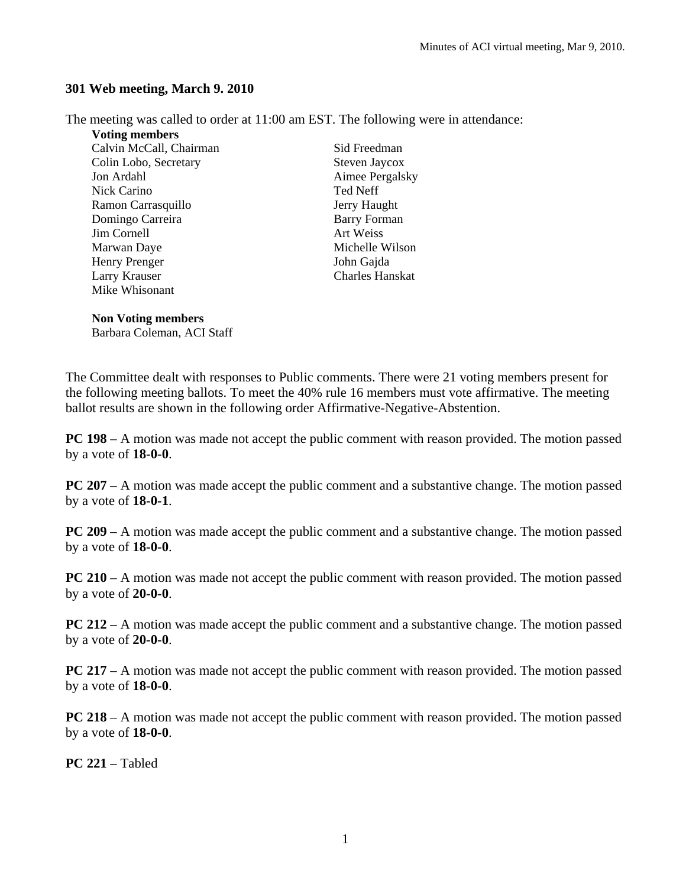### **301 Web meeting, March 9. 2010**

The meeting was called to order at 11:00 am EST. The following were in attendance:

**Voting members**  Calvin McCall, Chairman Sid Freedman Colin Lobo, Secretary Steven Jaycox Jon Ardahl Aimee Pergalsky Nick Carino Ted Neff Ramon Carrasquillo **Immunitive Serverse** Jerry Haught Domingo Carreira Barry Forman Jim Cornell Art Weiss Marwan Daye Michelle Wilson

Henry Prenger John Gajda Larry Krauser Charles Hanskat

#### **Non Voting members**

Mike Whisonant

Barbara Coleman, ACI Staff

The Committee dealt with responses to Public comments. There were 21 voting members present for the following meeting ballots. To meet the 40% rule 16 members must vote affirmative. The meeting ballot results are shown in the following order Affirmative-Negative-Abstention.

**PC 198** – A motion was made not accept the public comment with reason provided. The motion passed by a vote of **18-0-0**.

**PC 207** – A motion was made accept the public comment and a substantive change. The motion passed by a vote of **18-0-1**.

**PC 209** – A motion was made accept the public comment and a substantive change. The motion passed by a vote of **18-0-0**.

**PC 210** – A motion was made not accept the public comment with reason provided. The motion passed by a vote of **20-0-0**.

**PC 212** – A motion was made accept the public comment and a substantive change. The motion passed by a vote of **20-0-0**.

**PC 217** – A motion was made not accept the public comment with reason provided. The motion passed by a vote of **18-0-0**.

**PC 218** – A motion was made not accept the public comment with reason provided. The motion passed by a vote of **18-0-0**.

**PC 221** – Tabled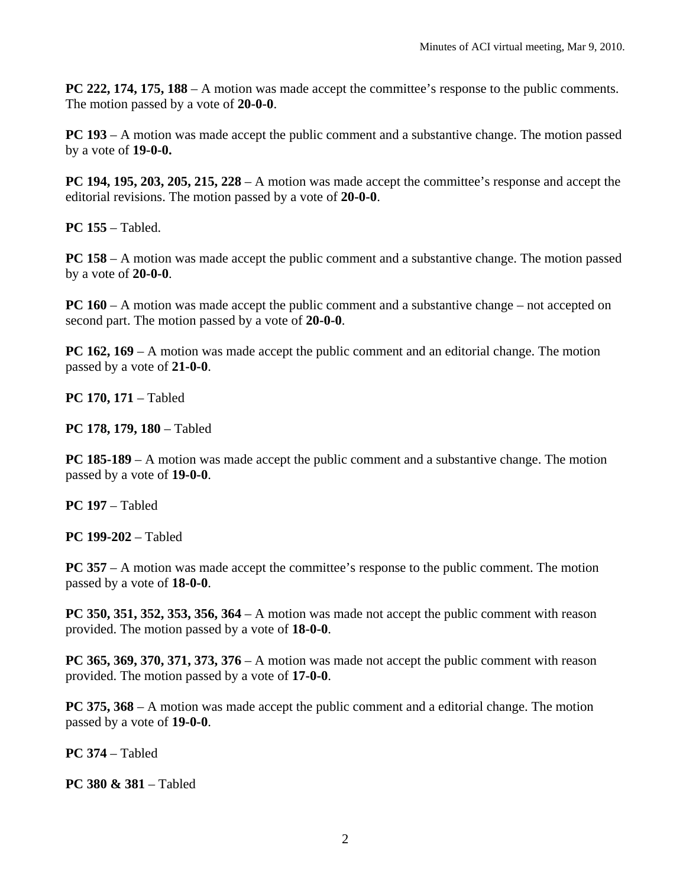**PC 222, 174, 175, 188** – A motion was made accept the committee's response to the public comments. The motion passed by a vote of **20-0-0**.

**PC 193** – A motion was made accept the public comment and a substantive change. The motion passed by a vote of **19-0-0.**

**PC 194, 195, 203, 205, 215, 228** – A motion was made accept the committee's response and accept the editorial revisions. The motion passed by a vote of **20-0-0**.

**PC 155** – Tabled.

**PC 158** – A motion was made accept the public comment and a substantive change. The motion passed by a vote of **20-0-0**.

**PC 160** – A motion was made accept the public comment and a substantive change – not accepted on second part. The motion passed by a vote of **20-0-0**.

**PC 162, 169** – A motion was made accept the public comment and an editorial change. The motion passed by a vote of **21-0-0**.

**PC 170, 171** – Tabled

**PC 178, 179, 180** – Tabled

**PC 185-189** – A motion was made accept the public comment and a substantive change. The motion passed by a vote of **19-0-0**.

**PC 197** – Tabled

**PC 199-202** – Tabled

**PC 357** – A motion was made accept the committee's response to the public comment. The motion passed by a vote of **18-0-0**.

**PC 350, 351, 352, 353, 356, 364** – A motion was made not accept the public comment with reason provided. The motion passed by a vote of **18-0-0**.

**PC 365, 369, 370, 371, 373, 376** – A motion was made not accept the public comment with reason provided. The motion passed by a vote of **17-0-0**.

**PC 375, 368** – A motion was made accept the public comment and a editorial change. The motion passed by a vote of **19-0-0**.

**PC 374** – Tabled

**PC 380 & 381** – Tabled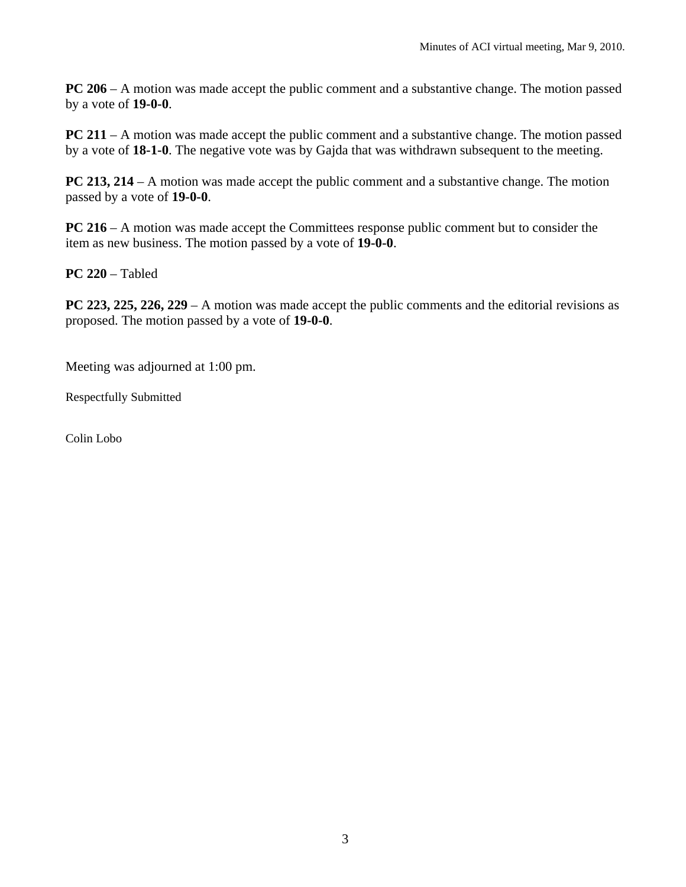**PC 206** – A motion was made accept the public comment and a substantive change. The motion passed by a vote of **19-0-0**.

**PC 211** – A motion was made accept the public comment and a substantive change. The motion passed by a vote of **18-1-0**. The negative vote was by Gajda that was withdrawn subsequent to the meeting.

**PC 213, 214** – A motion was made accept the public comment and a substantive change. The motion passed by a vote of **19-0-0**.

**PC 216** – A motion was made accept the Committees response public comment but to consider the item as new business. The motion passed by a vote of **19-0-0**.

**PC 220** – Tabled

**PC 223, 225, 226, 229** – A motion was made accept the public comments and the editorial revisions as proposed. The motion passed by a vote of **19-0-0**.

Meeting was adjourned at 1:00 pm.

Respectfully Submitted

Colin Lobo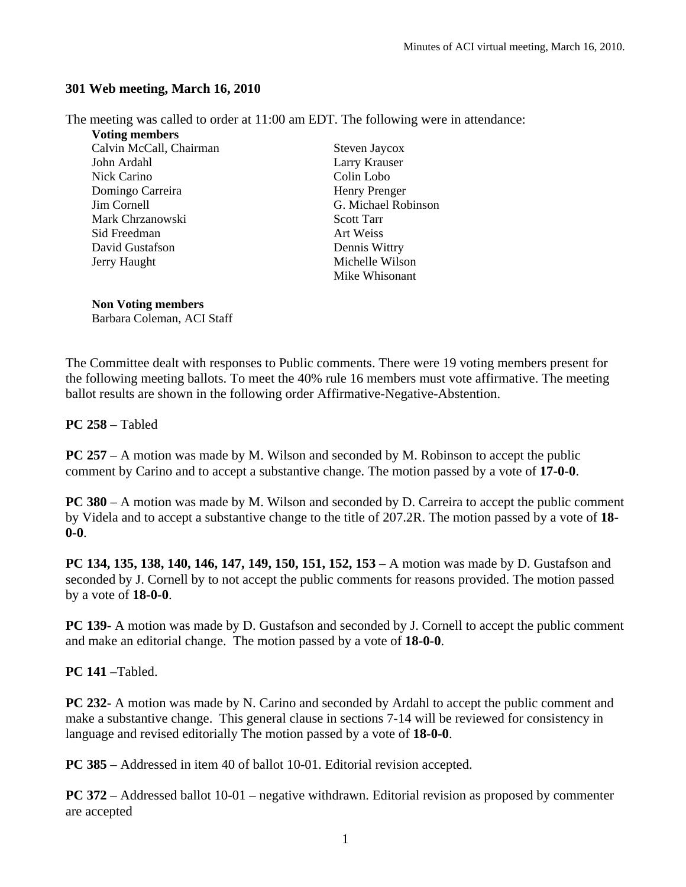## **301 Web meeting, March 16, 2010**

The meeting was called to order at 11:00 am EDT. The following were in attendance:

**Voting members**  Calvin McCall, Chairman Steven Jaycox John Ardahl Larry Krauser Nick Carino Colin Lobo Domingo Carreira **Henry Prenger** Jim Cornell G. Michael Robinson Mark Chrzanowski Scott Tarr Sid Freedman Art Weiss David Gustafson Dennis Wittry

Jerry Haught Michelle Wilson Mike Whisonant

**Non Voting members** 

Barbara Coleman, ACI Staff

The Committee dealt with responses to Public comments. There were 19 voting members present for the following meeting ballots. To meet the 40% rule 16 members must vote affirmative. The meeting ballot results are shown in the following order Affirmative-Negative-Abstention.

**PC 258** – Tabled

**PC 257** – A motion was made by M. Wilson and seconded by M. Robinson to accept the public comment by Carino and to accept a substantive change. The motion passed by a vote of **17-0-0**.

**PC 380** – A motion was made by M. Wilson and seconded by D. Carreira to accept the public comment by Videla and to accept a substantive change to the title of 207.2R. The motion passed by a vote of **18- 0-0**.

**PC 134, 135, 138, 140, 146, 147, 149, 150, 151, 152, 153** – A motion was made by D. Gustafson and seconded by J. Cornell by to not accept the public comments for reasons provided. The motion passed by a vote of **18-0-0**.

**PC 139**- A motion was made by D. Gustafson and seconded by J. Cornell to accept the public comment and make an editorial change. The motion passed by a vote of **18-0-0**.

**PC 141** –Tabled.

**PC 232-** A motion was made by N. Carino and seconded by Ardahl to accept the public comment and make a substantive change. This general clause in sections 7-14 will be reviewed for consistency in language and revised editorially The motion passed by a vote of **18-0-0**.

**PC 385** – Addressed in item 40 of ballot 10-01. Editorial revision accepted.

**PC 372** – Addressed ballot 10-01 – negative withdrawn. Editorial revision as proposed by commenter are accepted